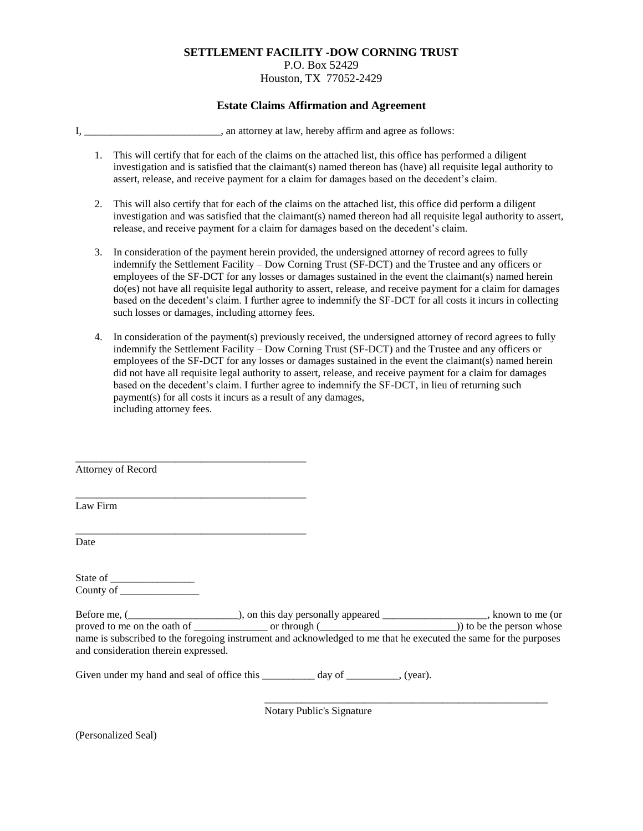### **SETTLEMENT FACILITY -DOW CORNING TRUST** P.O. Box 52429 Houston, TX 77052-2429

#### **Estate Claims Affirmation and Agreement**

I, \_\_\_\_\_\_\_\_\_\_\_\_\_\_\_\_\_\_\_\_\_\_\_\_\_\_\_\_\_, an attorney at law, hereby affirm and agree as follows:

- 1. This will certify that for each of the claims on the attached list, this office has performed a diligent investigation and is satisfied that the claimant(s) named thereon has (have) all requisite legal authority to assert, release, and receive payment for a claim for damages based on the decedent's claim.
- 2. This will also certify that for each of the claims on the attached list, this office did perform a diligent investigation and was satisfied that the claimant(s) named thereon had all requisite legal authority to assert, release, and receive payment for a claim for damages based on the decedent's claim.
- 3. In consideration of the payment herein provided, the undersigned attorney of record agrees to fully indemnify the Settlement Facility – Dow Corning Trust (SF-DCT) and the Trustee and any officers or employees of the SF-DCT for any losses or damages sustained in the event the claimant(s) named herein do(es) not have all requisite legal authority to assert, release, and receive payment for a claim for damages based on the decedent's claim. I further agree to indemnify the SF-DCT for all costs it incurs in collecting such losses or damages, including attorney fees.
- 4. In consideration of the payment(s) previously received, the undersigned attorney of record agrees to fully indemnify the Settlement Facility – Dow Corning Trust (SF-DCT) and the Trustee and any officers or employees of the SF-DCT for any losses or damages sustained in the event the claimant(s) named herein did not have all requisite legal authority to assert, release, and receive payment for a claim for damages based on the decedent's claim. I further agree to indemnify the SF-DCT, in lieu of returning such payment(s) for all costs it incurs as a result of any damages, including attorney fees.

\_\_\_\_\_\_\_\_\_\_\_\_\_\_\_\_\_\_\_\_\_\_\_\_\_\_\_\_\_\_\_\_\_\_\_\_\_\_\_\_\_\_\_\_ Attorney of Record

Law Firm

Date

State of \_\_\_\_\_\_\_\_\_\_\_\_\_\_\_\_ County of \_\_\_\_\_\_\_\_\_\_\_\_\_\_\_

\_\_\_\_\_\_\_\_\_\_\_\_\_\_\_\_\_\_\_\_\_\_\_\_\_\_\_\_\_\_\_\_\_\_\_\_\_\_\_\_\_\_\_\_

\_\_\_\_\_\_\_\_\_\_\_\_\_\_\_\_\_\_\_\_\_\_\_\_\_\_\_\_\_\_\_\_\_\_\_\_\_\_\_\_\_\_\_\_

Before me, (\_\_\_\_\_\_\_\_\_\_\_\_\_\_\_\_\_\_\_\_\_\_\_), on this day personally appeared \_\_\_\_\_\_\_\_\_\_\_\_\_\_\_\_\_\_\_, known to me (or proved to me on the oath of \_\_\_\_\_\_\_\_\_\_\_\_\_\_\_\_ or through (\_\_\_\_\_\_\_\_\_\_\_\_\_\_\_\_\_\_\_\_\_\_\_)) to be the person whose name is subscribed to the foregoing instrument and acknowledged to me that he executed the same for the purposes and consideration therein expressed.

Given under my hand and seal of office this \_\_\_\_\_\_\_\_\_\_ day of \_\_\_\_\_\_\_\_, (year).

Notary Public's Signature

\_\_\_\_\_\_\_\_\_\_\_\_\_\_\_\_\_\_\_\_\_\_\_\_\_\_\_\_\_\_\_\_\_\_\_\_\_\_\_\_\_\_\_\_\_\_\_\_\_\_\_\_\_\_

(Personalized Seal)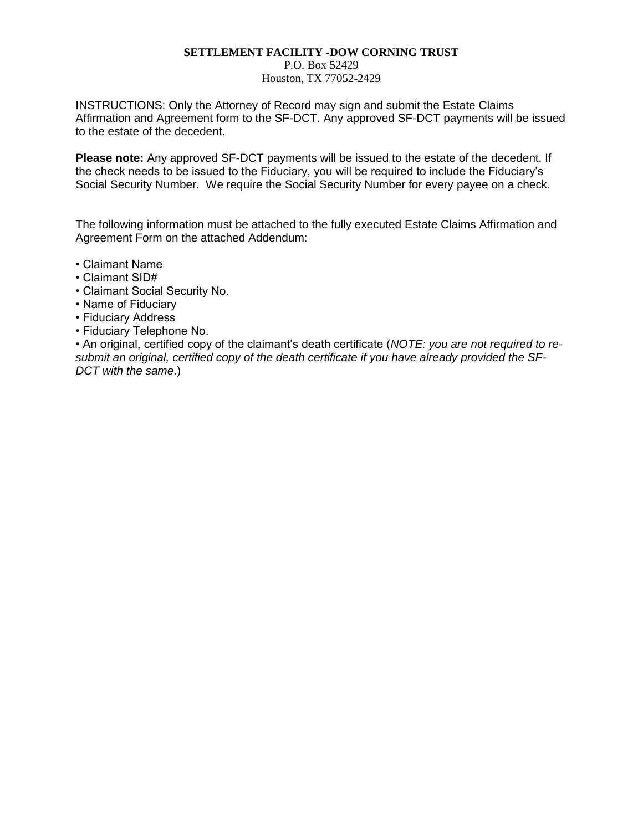# **SETTLEMENT FACILITY -DOW CORNING TRUST**

P.O. Box 52429

Houston, TX 77052-2429

INSTRUCTIONS: Only the Attorney of Record may sign and submit the Estate Claims Affirmation and Agreement form to the SF-DCT. Any approved SF-DCT payments will be issued to the estate of the decedent.

**Please note:** Any approved SF-DCT payments will be issued to the estate of the decedent. If the check needs to be issued to the Fiduciary, you will be required to include the Fiduciary's Social Security Number. We require the Social Security Number for every payee on a check.

The following information must be attached to the fully executed Estate Claims Affirmation and Agreement Form on the attached Addendum:

- Claimant Name
- Claimant SID#
- Claimant Social Security No.
- Name of Fiduciary
- Fiduciary Address
- Fiduciary Telephone No.

• An original, certified copy of the claimant's death certificate (*NOTE: you are not required to resubmit an original, certified copy of the death certificate if you have already provided the SF-DCT with the same*.)